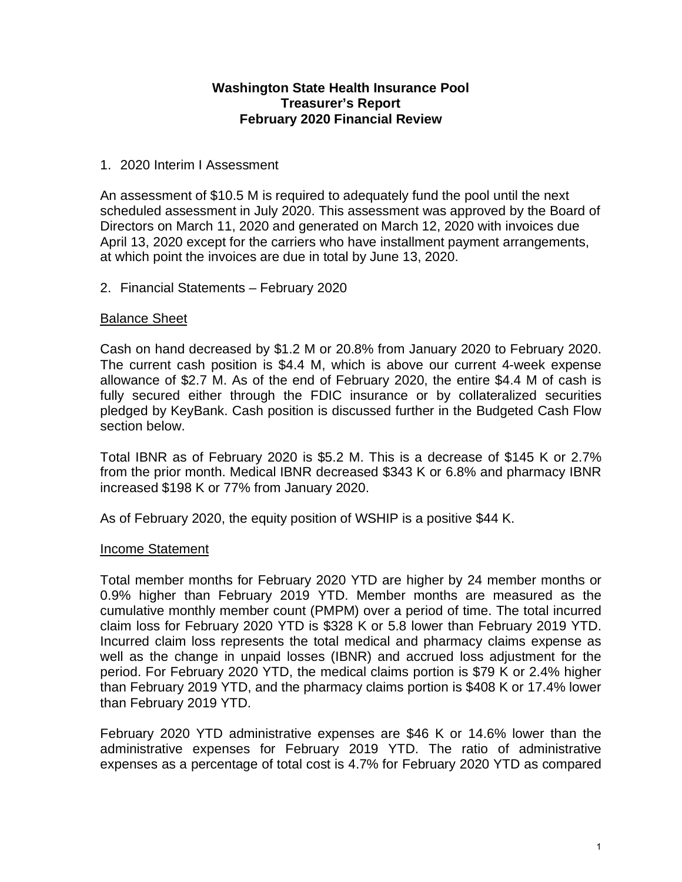### **Washington State Health Insurance Pool Treasurer's Report February 2020 Financial Review**

### 1. 2020 Interim I Assessment

An assessment of \$10.5 M is required to adequately fund the pool until the next scheduled assessment in July 2020. This assessment was approved by the Board of Directors on March 11, 2020 and generated on March 12, 2020 with invoices due April 13, 2020 except for the carriers who have installment payment arrangements, at which point the invoices are due in total by June 13, 2020.

### 2. Financial Statements – February 2020

### Balance Sheet

Cash on hand decreased by \$1.2 M or 20.8% from January 2020 to February 2020. The current cash position is \$4.4 M, which is above our current 4-week expense allowance of \$2.7 M. As of the end of February 2020, the entire \$4.4 M of cash is fully secured either through the FDIC insurance or by collateralized securities pledged by KeyBank. Cash position is discussed further in the Budgeted Cash Flow section below.

Total IBNR as of February 2020 is \$5.2 M. This is a decrease of \$145 K or 2.7% from the prior month. Medical IBNR decreased \$343 K or 6.8% and pharmacy IBNR increased \$198 K or 77% from January 2020.

As of February 2020, the equity position of WSHIP is a positive \$44 K.

### Income Statement

Total member months for February 2020 YTD are higher by 24 member months or 0.9% higher than February 2019 YTD. Member months are measured as the cumulative monthly member count (PMPM) over a period of time. The total incurred claim loss for February 2020 YTD is \$328 K or 5.8 lower than February 2019 YTD. Incurred claim loss represents the total medical and pharmacy claims expense as well as the change in unpaid losses (IBNR) and accrued loss adjustment for the period. For February 2020 YTD, the medical claims portion is \$79 K or 2.4% higher than February 2019 YTD, and the pharmacy claims portion is \$408 K or 17.4% lower than February 2019 YTD.

February 2020 YTD administrative expenses are \$46 K or 14.6% lower than the administrative expenses for February 2019 YTD. The ratio of administrative expenses as a percentage of total cost is 4.7% for February 2020 YTD as compared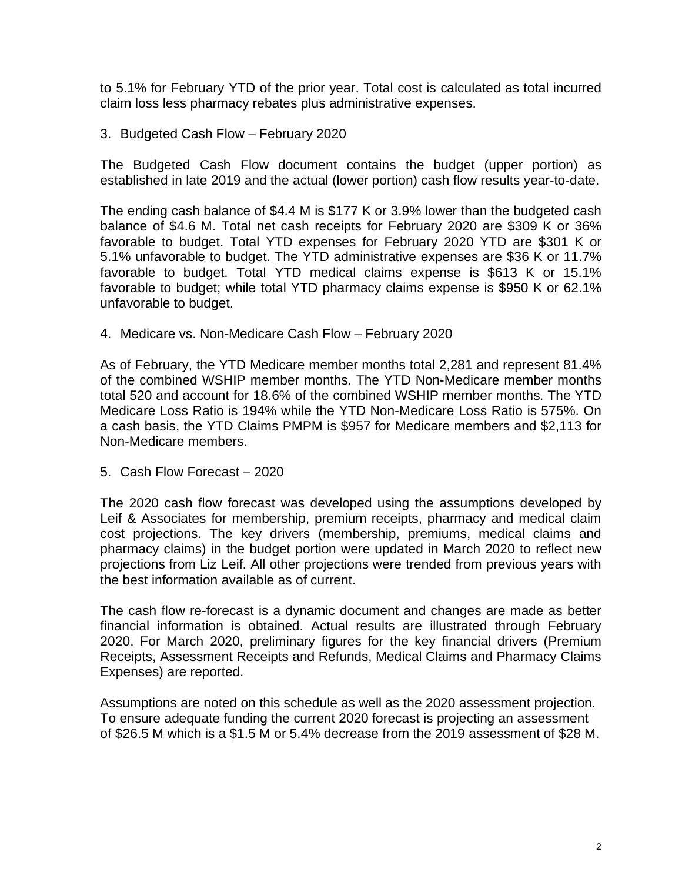to 5.1% for February YTD of the prior year. Total cost is calculated as total incurred claim loss less pharmacy rebates plus administrative expenses.

3. Budgeted Cash Flow – February 2020

The Budgeted Cash Flow document contains the budget (upper portion) as established in late 2019 and the actual (lower portion) cash flow results year-to-date.

The ending cash balance of \$4.4 M is \$177 K or 3.9% lower than the budgeted cash balance of \$4.6 M. Total net cash receipts for February 2020 are \$309 K or 36% favorable to budget. Total YTD expenses for February 2020 YTD are \$301 K or 5.1% unfavorable to budget. The YTD administrative expenses are \$36 K or 11.7% favorable to budget. Total YTD medical claims expense is \$613 K or 15.1% favorable to budget; while total YTD pharmacy claims expense is \$950 K or 62.1% unfavorable to budget.

4. Medicare vs. Non-Medicare Cash Flow – February 2020

As of February, the YTD Medicare member months total 2,281 and represent 81.4% of the combined WSHIP member months. The YTD Non-Medicare member months total 520 and account for 18.6% of the combined WSHIP member months. The YTD Medicare Loss Ratio is 194% while the YTD Non-Medicare Loss Ratio is 575%. On a cash basis, the YTD Claims PMPM is \$957 for Medicare members and \$2,113 for Non-Medicare members.

5. Cash Flow Forecast – 2020

The 2020 cash flow forecast was developed using the assumptions developed by Leif & Associates for membership, premium receipts, pharmacy and medical claim cost projections. The key drivers (membership, premiums, medical claims and pharmacy claims) in the budget portion were updated in March 2020 to reflect new projections from Liz Leif. All other projections were trended from previous years with the best information available as of current.

The cash flow re-forecast is a dynamic document and changes are made as better financial information is obtained. Actual results are illustrated through February 2020. For March 2020, preliminary figures for the key financial drivers (Premium Receipts, Assessment Receipts and Refunds, Medical Claims and Pharmacy Claims Expenses) are reported.

Assumptions are noted on this schedule as well as the 2020 assessment projection. To ensure adequate funding the current 2020 forecast is projecting an assessment of \$26.5 M which is a \$1.5 M or 5.4% decrease from the 2019 assessment of \$28 M.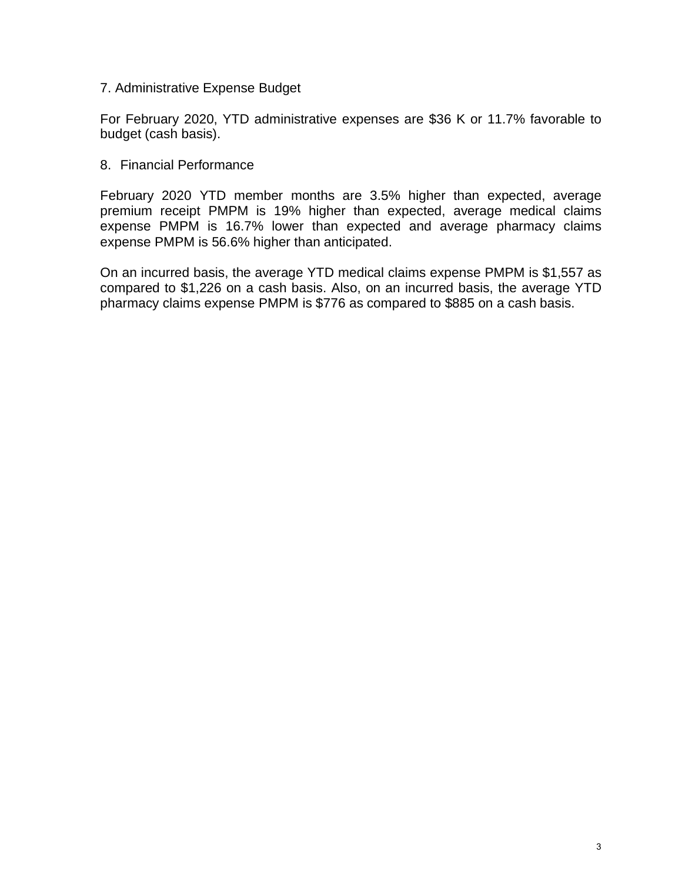### 7. Administrative Expense Budget

For February 2020, YTD administrative expenses are \$36 K or 11.7% favorable to budget (cash basis).

### 8. Financial Performance

February 2020 YTD member months are 3.5% higher than expected, average premium receipt PMPM is 19% higher than expected, average medical claims expense PMPM is 16.7% lower than expected and average pharmacy claims expense PMPM is 56.6% higher than anticipated.

On an incurred basis, the average YTD medical claims expense PMPM is \$1,557 as compared to \$1,226 on a cash basis. Also, on an incurred basis, the average YTD pharmacy claims expense PMPM is \$776 as compared to \$885 on a cash basis.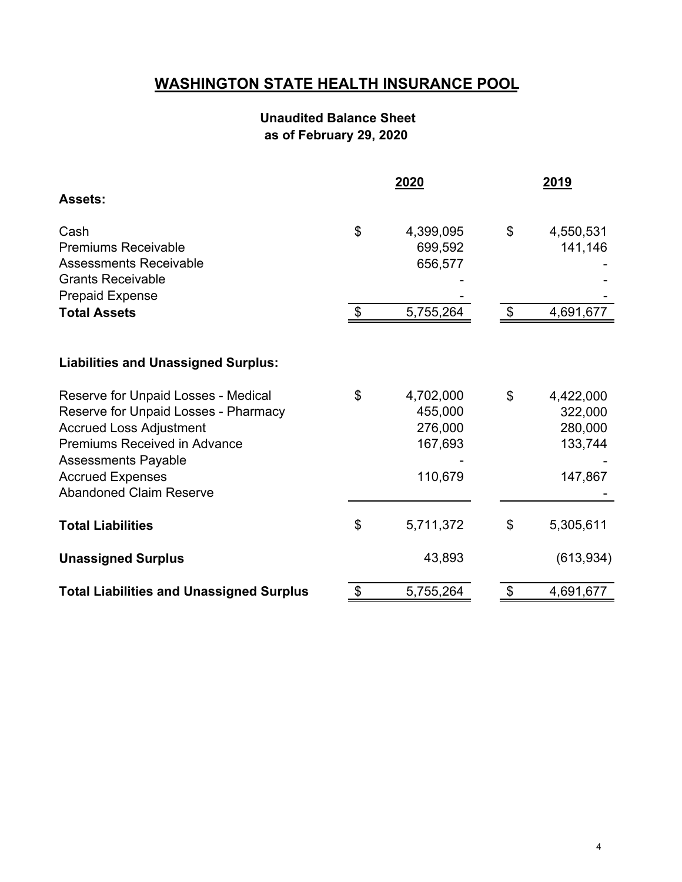## **WASHINGTON STATE HEALTH INSURANCE POOL**

### **Unaudited Balance Sheet as of February 29, 2020**

|                                                 |                            | 2020      | 2019                       |            |  |  |
|-------------------------------------------------|----------------------------|-----------|----------------------------|------------|--|--|
| <b>Assets:</b>                                  |                            |           |                            |            |  |  |
| Cash                                            | \$                         | 4,399,095 | \$                         | 4,550,531  |  |  |
| <b>Premiums Receivable</b>                      |                            | 699,592   |                            | 141,146    |  |  |
| <b>Assessments Receivable</b>                   |                            | 656,577   |                            |            |  |  |
| <b>Grants Receivable</b>                        |                            |           |                            |            |  |  |
| <b>Prepaid Expense</b>                          |                            |           |                            |            |  |  |
| <b>Total Assets</b>                             | $\boldsymbol{\mathcal{F}}$ | 5,755,264 | $\boldsymbol{\mathsf{\$}}$ | 4,691,677  |  |  |
|                                                 |                            |           |                            |            |  |  |
| <b>Liabilities and Unassigned Surplus:</b>      |                            |           |                            |            |  |  |
| Reserve for Unpaid Losses - Medical             | \$                         | 4,702,000 | \$                         | 4,422,000  |  |  |
| Reserve for Unpaid Losses - Pharmacy            |                            | 455,000   |                            | 322,000    |  |  |
| <b>Accrued Loss Adjustment</b>                  |                            | 276,000   |                            | 280,000    |  |  |
| <b>Premiums Received in Advance</b>             |                            | 167,693   |                            | 133,744    |  |  |
| <b>Assessments Payable</b>                      |                            |           |                            |            |  |  |
| <b>Accrued Expenses</b>                         |                            | 110,679   |                            | 147,867    |  |  |
| <b>Abandoned Claim Reserve</b>                  |                            |           |                            |            |  |  |
| <b>Total Liabilities</b>                        | \$                         | 5,711,372 | \$                         | 5,305,611  |  |  |
| <b>Unassigned Surplus</b>                       |                            | 43,893    |                            | (613, 934) |  |  |
| <b>Total Liabilities and Unassigned Surplus</b> | $\boldsymbol{\theta}$      | 5,755,264 | \$                         | 4,691,677  |  |  |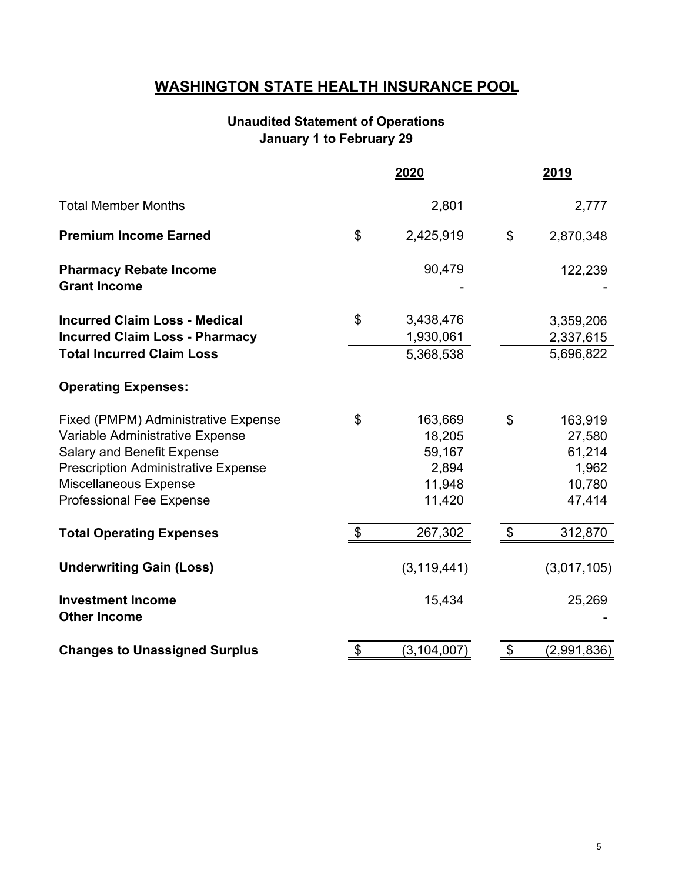### **WASHINGTON STATE HEALTH INSURANCE POOL**

### **January 1 to February 29 Unaudited Statement of Operations**

|                                                                                                                                                                                                                |                           | 2020                                                     |                           | <u> 2019</u>                                             |
|----------------------------------------------------------------------------------------------------------------------------------------------------------------------------------------------------------------|---------------------------|----------------------------------------------------------|---------------------------|----------------------------------------------------------|
| <b>Total Member Months</b>                                                                                                                                                                                     |                           | 2,801                                                    |                           | 2,777                                                    |
| <b>Premium Income Earned</b>                                                                                                                                                                                   | \$                        | 2,425,919                                                | \$                        | 2,870,348                                                |
| <b>Pharmacy Rebate Income</b><br><b>Grant Income</b>                                                                                                                                                           |                           | 90,479                                                   |                           | 122,239                                                  |
| <b>Incurred Claim Loss - Medical</b><br><b>Incurred Claim Loss - Pharmacy</b><br><b>Total Incurred Claim Loss</b>                                                                                              | $\mathfrak{S}$            | 3,438,476<br>1,930,061<br>5,368,538                      |                           | 3,359,206<br>2,337,615<br>5,696,822                      |
| <b>Operating Expenses:</b>                                                                                                                                                                                     |                           |                                                          |                           |                                                          |
| Fixed (PMPM) Administrative Expense<br>Variable Administrative Expense<br>Salary and Benefit Expense<br><b>Prescription Administrative Expense</b><br>Miscellaneous Expense<br><b>Professional Fee Expense</b> | \$                        | 163,669<br>18,205<br>59,167<br>2,894<br>11,948<br>11,420 | \$                        | 163,919<br>27,580<br>61,214<br>1,962<br>10,780<br>47,414 |
| <b>Total Operating Expenses</b>                                                                                                                                                                                | $\boldsymbol{\mathsf{S}}$ | 267,302                                                  | $\boldsymbol{\mathsf{S}}$ | 312,870                                                  |
| <b>Underwriting Gain (Loss)</b>                                                                                                                                                                                |                           | (3, 119, 441)                                            |                           | (3,017,105)                                              |
| <b>Investment Income</b><br><b>Other Income</b>                                                                                                                                                                |                           | 15,434                                                   |                           | 25,269                                                   |
| <b>Changes to Unassigned Surplus</b>                                                                                                                                                                           | \$                        | (3, 104, 007)                                            | \$                        | (2,991,836)                                              |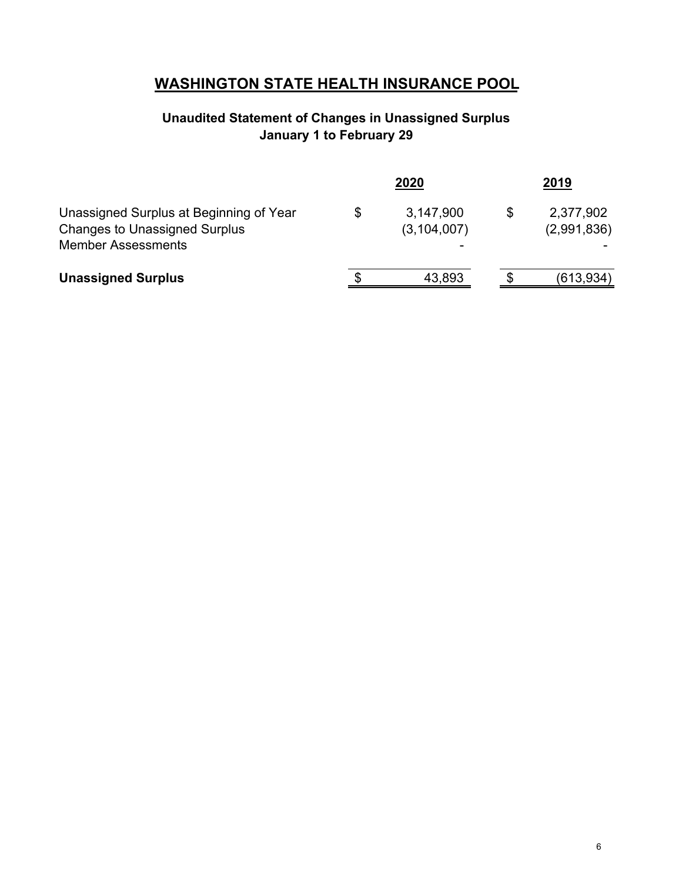## **WASHINGTON STATE HEALTH INSURANCE POOL**

### **Unaudited Statement of Changes in Unassigned Surplus January 1 to February 29**

|                                                                                                              |   | 2020                       | 2019                     |
|--------------------------------------------------------------------------------------------------------------|---|----------------------------|--------------------------|
| Unassigned Surplus at Beginning of Year<br><b>Changes to Unassigned Surplus</b><br><b>Member Assessments</b> | S | 3,147,900<br>(3, 104, 007) | 2,377,902<br>(2,991,836) |
| <b>Unassigned Surplus</b>                                                                                    |   | 43,893                     | (613,934)                |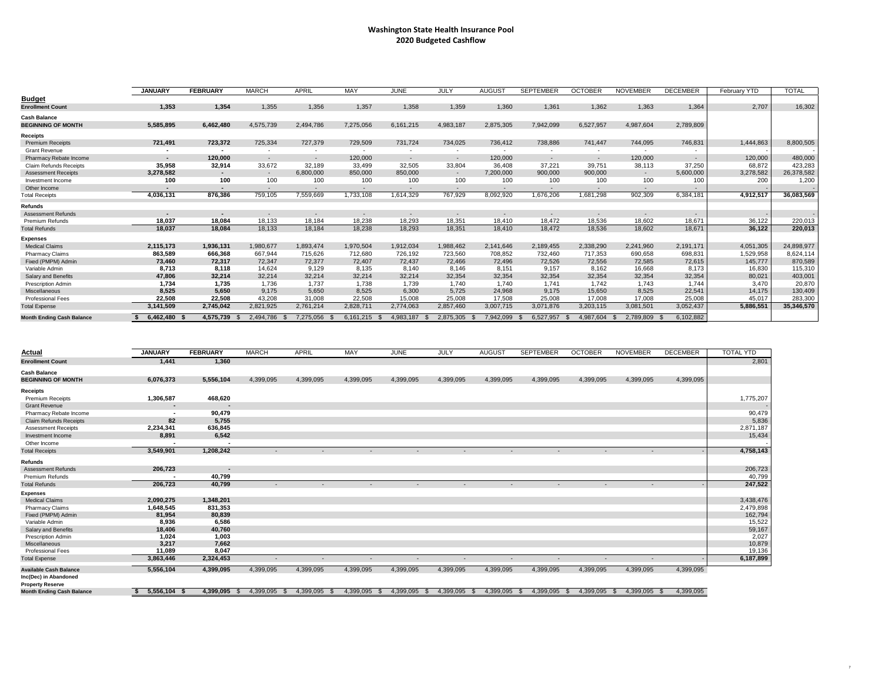# **Washington State Health Insurance Pool 2020 Budgeted Cashflow**

| <b>TOTAI</b>        |
|---------------------|
| 16,302              |
|                     |
| 8,800,505           |
| 480,000             |
| 423,283             |
| 26,378,582<br>1,200 |
|                     |
| 36,083,569          |
|                     |
|                     |
| 220,013<br>220,013  |
|                     |
| 24,898,977          |
| 8,624,114           |
| 870,589             |
| 115,310             |
| 403,001<br>20,870   |
| 130,409             |
| <u>283,300</u>      |
| 35,346,570          |

|                                  | <b>JANUARY</b> | <b>FEBRUARY</b> | <b>MARCH</b>   | <b>APRIL</b> | <b>MAY</b>     | <b>JUNE</b>    | <b>JULY</b>              | <b>AUGUST</b> | <b>SEPTEMBER</b> | <b>OCTOBER</b>             | <b>NOVEMBER</b> | <b>DECEMBER</b> | <b>February YTD</b> | <b>TOTAL</b> |
|----------------------------------|----------------|-----------------|----------------|--------------|----------------|----------------|--------------------------|---------------|------------------|----------------------------|-----------------|-----------------|---------------------|--------------|
| <b>Budget</b>                    |                |                 |                |              |                |                |                          |               |                  |                            |                 |                 |                     |              |
| <b>Enrollment Count</b>          | 1,353          | 1,354           | 1,355          | 1,356        | 1,357          | 1,358          | 1,359                    | 1,360         | 1,361            | 1,362                      | 1,363           | 1,364           | 2,707               | 16,302       |
| <b>Cash Balance</b>              |                |                 |                |              |                |                |                          |               |                  |                            |                 |                 |                     |              |
| <b>BEGINNING OF MONTH</b>        | 5,585,895      | 6,462,480       | 4,575,739      | 2,494,786    | 7,275,056      | 6,161,215      | 4,983,187                | 2,875,305     | 7,942,099        | 6,527,957                  | 4,987,604       | 2,789,809       |                     |              |
| <b>Receipts</b>                  |                |                 |                |              |                |                |                          |               |                  |                            |                 |                 |                     |              |
| <b>Premium Receipts</b>          | 721,491        | 723,372         | 725,334        | 727,379      | 729,509        | 731,724        | 734,025                  | 736,412       | 738,886          | 741,447                    | 744,095         | 746,831         | 1,444,863           | 8,800,505    |
| <b>Grant Revenue</b>             |                |                 | $\sim$         |              |                |                | $\overline{\phantom{0}}$ |               |                  | $\overline{\phantom{0}}$   |                 |                 |                     |              |
| <b>Pharmacy Rebate Income</b>    |                | 120,000         | $\sim$         |              | 120,000        | $\sim$         | $\sim$                   | 120,000       | $\sim$           | $\sim$                     | 120,000         |                 | 120,000             | 480,000      |
| <b>Claim Refunds Receipts</b>    | 35,958         | 32,914          | 33,672         | 32,189       | 33,499         | 32,505         | 33,804                   | 36,408        | 37,221           | 39,751                     | 38,113          | 37,250          | 68,872              | 423,283      |
| <b>Assessment Receipts</b>       | 3,278,582      | $\sim$          | $\sim$         | 6,800,000    | 850,000        | 850,000        | $\sim$                   | 7,200,000     | 900,000          | 900,000                    | $\sim$          | 5,600,000       | 3,278,582           | 26,378,582   |
| Investment Income                | 100            | 100             | 100            | 100          | 100            | 100            | 100                      | 100           | 100              | 100                        | 100             | 100             | 200                 | 1,200        |
| Other Income                     |                | $\sim$ 10 $\,$  | $\blacksquare$ |              |                |                | $\sim$                   |               |                  |                            |                 |                 |                     |              |
| <b>Total Receipts</b>            | 4,036,131      | 876,386         | 759,105        | 7,559,669    | 1,733,108      | 1,614,329      | 767,929                  | 8,092,920     | 1,676,206        | 1,681,298                  | 902,309         | 6,384,181       | 4,912,517           | 36,083,569   |
| <b>Refunds</b>                   |                |                 |                |              |                |                |                          |               |                  |                            |                 |                 |                     |              |
| <b>Assessment Refunds</b>        |                | $\sim$          | $\sim$         |              |                |                | $\overline{\phantom{a}}$ |               |                  |                            |                 |                 |                     |              |
| <b>Premium Refunds</b>           | 18,037         | 18,084          | 18,133         | 18,184       | 18,238         | 18,293         | 18,351                   | 18,410        | 18,472           | 18,536                     | 18,602          | 18,671          | 36,122              | 220,013      |
| <b>Total Refunds</b>             | 18,037         | 18,084          | 18,133         | 18,184       | 18,238         | 18,293         | 18,351                   | 18,410        | 18,472           | 18,536                     | 18,602          | 18,671          | 36,122              | 220,013      |
| <b>Expenses</b>                  |                |                 |                |              |                |                |                          |               |                  |                            |                 |                 |                     |              |
| <b>Medical Claims</b>            | 2,115,173      | 1,936,131       | 1,980,677      | 1,893,474    | 1,970,504      | 1,912,034      | 1,988,462                | 2,141,646     | 2,189,455        | 2,338,290                  | 2,241,960       | 2,191,171       | 4,051,305           | 24,898,977   |
| <b>Pharmacy Claims</b>           | 863,589        | 666,368         | 667,944        | 715,626      | 712,680        | 726,192        | 723,560                  | 708,852       | 732,460          | 717,353                    | 690,658         | 698,831         | 1,529,958           | 8,624,114    |
| Fixed (PMPM) Admin               | 73,460         | 72,317          | 72,347         | 72,377       | 72,407         | 72,437         | 72,466                   | 72,496        | 72,526           | 72,556                     | 72,585          | 72,615          | 145,777             | 870,589      |
| Variable Admin                   | 8,713          | 8,118           | 14,624         | 9,129        | 8,135          | 8,140          | 8,146                    | 8,151         | 9,157            | 8,162                      | 16,668          | 8,173           | 16,830              | 115,310      |
| <b>Salary and Benefits</b>       | 47,806         | 32,214          | 32,214         | 32,214       | 32,214         | 32,214         | 32,354                   | 32,354        | 32,354           | 32,354                     | 32,354          | 32,354          | 80,021              | 403,001      |
| <b>Prescription Admin</b>        | 1,734          | 1,735           | 1,736          | 1,737        | 1,738          | 1,739          | 1,740                    | 1,740         | 1,741            | 1,742                      | 1,743           | 1,744           | 3,470               | 20,870       |
| Miscellaneous                    | 8,525          | 5,650           | 9,175          | 5,650        | 8,525          | 6,300          | 5,725                    | 24,968        | 9,175            | 15,650                     | 8,525           | 22,541          | 14,175              | 130,409      |
| <b>Professional Fees</b>         | 22,508         | 22,508          | 43,208         | 31,008       | 22,508         | 15,008         | 25,008                   | 17,508        | 25,008           | 17,008                     | 17,008          | 25,008          | 45,017              | 283,300      |
| <b>Total Expense</b>             | 3,141,509      | 2,745,042       | 2,821,925      | 2,761,214    | 2,828,711      | 2,774,063      | 2,857,460                | 3,007,715     | 3,071,876        | 3,203,115                  | 3,081,501       | 3,052,437       | 5,886,551           | 35,346,570   |
| <b>Month Ending Cash Balance</b> | 6,462,480 \$   | 4,575,739 \$    | 2,494,786 \$   | 7,275,056 \$ | $6,161,215$ \$ | 4,983,187<br>ী | 2,875,305<br>- SS        | 7,942,099     | 6,527,957<br>_ უ | 4,987,604<br>$\mathcal{S}$ | 2,789,809 \$    | 6,102,882       |                     |              |

| <b>Actual</b>                    | <b>JANUARY</b> | <b>FEBRUARY</b> | <b>MARCH</b>          | <b>APRIL</b> | <b>MAY</b>   | <b>JUNE</b>  | <b>JULY</b>                | <b>AUGUST</b> | <b>SEPTEMBER</b> | <b>OCTOBER</b> | <b>NOVEMBER</b>     | <b>DECEMBER</b> | <b>TOTAL YTD</b> |
|----------------------------------|----------------|-----------------|-----------------------|--------------|--------------|--------------|----------------------------|---------------|------------------|----------------|---------------------|-----------------|------------------|
| <b>Enrollment Count</b>          | 1,441          | 1,360           |                       |              |              |              |                            |               |                  |                |                     |                 | 2,801            |
| <b>Cash Balance</b>              |                |                 |                       |              |              |              |                            |               |                  |                |                     |                 |                  |
| <b>BEGINNING OF MONTH</b>        | 6,076,373      | 5,556,104       | 4,399,095             | 4,399,095    | 4,399,095    | 4,399,095    | 4,399,095                  | 4,399,095     | 4,399,095        | 4,399,095      | 4,399,095           | 4,399,095       |                  |
| <b>Receipts</b>                  |                |                 |                       |              |              |              |                            |               |                  |                |                     |                 |                  |
| <b>Premium Receipts</b>          | 1,306,587      | 468,620         |                       |              |              |              |                            |               |                  |                |                     |                 | 1,775,207        |
| <b>Grant Revenue</b>             | $\sim$         |                 |                       |              |              |              |                            |               |                  |                |                     |                 | $\sim$ $-$       |
| <b>Pharmacy Rebate Income</b>    |                | 90,479          |                       |              |              |              |                            |               |                  |                |                     |                 | 90,479           |
| <b>Claim Refunds Receipts</b>    | 82             | 5,755           |                       |              |              |              |                            |               |                  |                |                     |                 | 5,836            |
| <b>Assessment Receipts</b>       | 2,234,341      | 636,845         |                       |              |              |              |                            |               |                  |                |                     |                 | 2,871,187        |
| Investment Income                | 8,891          | 6,542           |                       |              |              |              |                            |               |                  |                |                     |                 | 15,434           |
| Other Income                     |                |                 |                       |              |              |              |                            |               |                  |                |                     |                 | $\sim$           |
| <b>Total Receipts</b>            | 3,549,901      | 1,208,242       | $\sim$                |              | $\sim$       | $\sim$       | $\sim$                     | $\sim$        | $\sim$           | $\sim$         | $\sim$              |                 | 4,758,143        |
| <b>Refunds</b>                   |                |                 |                       |              |              |              |                            |               |                  |                |                     |                 |                  |
| <b>Assessment Refunds</b>        | 206,723        | $\blacksquare$  |                       |              |              |              |                            |               |                  |                |                     |                 | 206,723          |
| <b>Premium Refunds</b>           |                | 40,799          |                       |              |              |              |                            |               |                  |                |                     |                 | 40,799           |
| <b>Total Refunds</b>             | 206,723        | 40,799          | $\sim$                | $\sim$       | $\sim$       | $\sim$       | $\sim$                     | $\sim$        | $\sim$           | $\sim$         | $\sim$              |                 | 247,522          |
| <b>Expenses</b>                  |                |                 |                       |              |              |              |                            |               |                  |                |                     |                 |                  |
| <b>Medical Claims</b>            | 2,090,275      | 1,348,201       |                       |              |              |              |                            |               |                  |                |                     |                 | 3,438,476        |
| <b>Pharmacy Claims</b>           | 1,648,545      | 831,353         |                       |              |              |              |                            |               |                  |                |                     |                 | 2,479,898        |
| Fixed (PMPM) Admin               | 81,954         | 80,839          |                       |              |              |              |                            |               |                  |                |                     |                 | 162,794          |
| Variable Admin                   | 8,936          | 6,586           |                       |              |              |              |                            |               |                  |                |                     |                 | 15,522           |
| <b>Salary and Benefits</b>       | 18,406         | 40,760          |                       |              |              |              |                            |               |                  |                |                     |                 | 59,167           |
| <b>Prescription Admin</b>        | 1,024          | 1,003           |                       |              |              |              |                            |               |                  |                |                     |                 | 2,027            |
| Miscellaneous                    | 3,217          | 7,662           |                       |              |              |              |                            |               |                  |                |                     |                 | 10,879           |
| <b>Professional Fees</b>         | 11,089         | 8,047           |                       |              |              |              |                            |               |                  |                |                     |                 | 19,136           |
| <b>Total Expense</b>             | 3,863,446      | 2,324,453       | $\sim$ $-$            | $\sim$       | $\sim$       | $\sim$       | $\sim$                     | $\sim$        | $\sim$           | $\sim$         | $\sim$              |                 | 6,187,899        |
| <b>Available Cash Balance</b>    | 5,556,104      | 4,399,095       | 4,399,095             | 4,399,095    | 4,399,095    | 4,399,095    | 4,399,095                  | 4,399,095     | 4,399,095        | 4,399,095      | 4,399,095           | 4,399,095       |                  |
| Inc(Dec) in Abandoned            |                |                 |                       |              |              |              |                            |               |                  |                |                     |                 |                  |
| <b>Property Reserve</b>          |                |                 |                       |              |              |              |                            |               |                  |                |                     |                 |                  |
| <b>Month Ending Cash Balance</b> | 5,556,104 \$   | 4,399,095 \$    | 4,399,095<br><b>S</b> | 4,399,095 \$ | 4,399,095 \$ | 4,399,095 \$ | 4,399,095<br>$\mathcal{L}$ | 4,399,095 \$  | 4,399,095 \$     | 4,399,095      | 4,399,095 \$<br>- S | 4,399,095       |                  |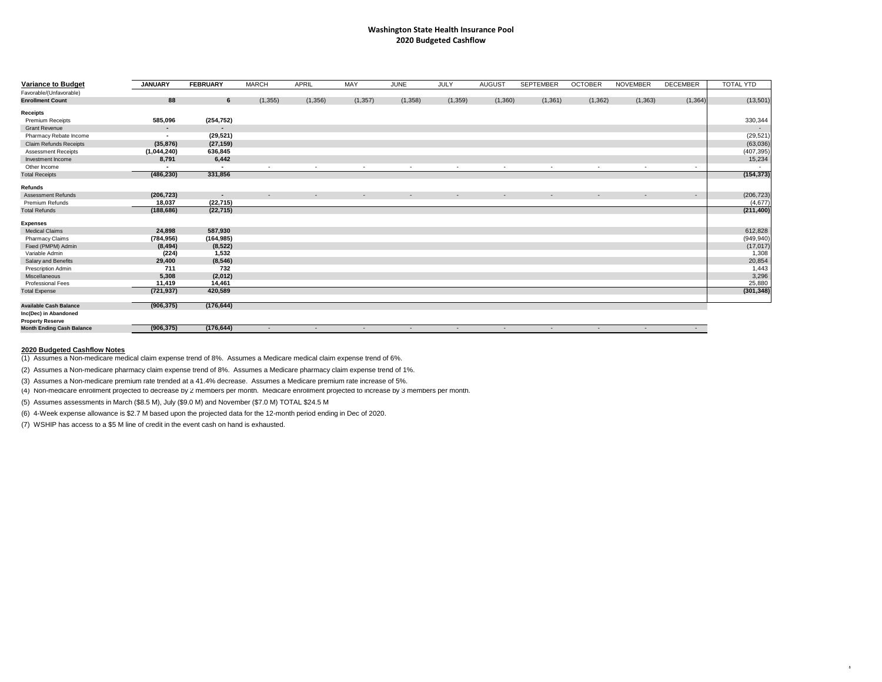# **Washington State Health Insurance Pool 2020 Budgeted Cashflow**

| <b>Variance to Budget</b>                                   | <b>JANUARY</b>           | <b>FEBRUARY</b> | <b>MARCH</b> | <b>APRIL</b>   | <b>MAY</b>     | <b>JUNE</b>              | <b>JULY</b>              | <b>AUGUST</b>            | <b>SEPTEMBER</b> | <b>OCTOBER</b> | <b>NOVEMBER</b>          | <b>DECEMBER</b> | <b>TOTAL YTD</b> |
|-------------------------------------------------------------|--------------------------|-----------------|--------------|----------------|----------------|--------------------------|--------------------------|--------------------------|------------------|----------------|--------------------------|-----------------|------------------|
| Favorable/(Unfavorable)                                     |                          |                 |              |                |                |                          |                          |                          |                  |                |                          |                 |                  |
| <b>Enrollment Count</b>                                     | 88                       | $6\overline{6}$ | (1, 355)     | (1,356)        | (1, 357)       | (1,358)                  | (1,359)                  | (1,360)                  | (1, 361)         | (1, 362)       | (1, 363)                 | (1, 364)        | (13,501)         |
| <b>Receipts</b>                                             |                          |                 |              |                |                |                          |                          |                          |                  |                |                          |                 |                  |
| <b>Premium Receipts</b>                                     | 585,096                  | (254, 752)      |              |                |                |                          |                          |                          |                  |                |                          |                 | 330,344          |
| <b>Grant Revenue</b>                                        | $\overline{\phantom{0}}$ |                 |              |                |                |                          |                          |                          |                  |                |                          |                 |                  |
| <b>Pharmacy Rebate Income</b>                               |                          | (29, 521)       |              |                |                |                          |                          |                          |                  |                |                          |                 | (29, 521)        |
| <b>Claim Refunds Receipts</b>                               | (35, 876)                | (27, 159)       |              |                |                |                          |                          |                          |                  |                |                          |                 | (63,036)         |
| <b>Assessment Receipts</b>                                  | (1,044,240)              | 636,845         |              |                |                |                          |                          |                          |                  |                |                          |                 | (407, 395)       |
| Investment Income                                           | 8,791                    | 6,442           |              |                |                |                          |                          |                          |                  |                |                          |                 | 15,234           |
| Other Income                                                |                          | $\blacksquare$  |              | $\blacksquare$ | $\blacksquare$ | $\overline{\phantom{0}}$ | $\overline{\phantom{0}}$ | $\blacksquare$           | $\sim$           |                | $\overline{\phantom{0}}$ | $\sim$          |                  |
| <b>Total Receipts</b>                                       | (486, 230)               | 331,856         |              |                |                |                          |                          |                          |                  |                |                          |                 | (154, 373)       |
| <b>Refunds</b>                                              |                          |                 |              |                |                |                          |                          |                          |                  |                |                          |                 |                  |
| <b>Assessment Refunds</b>                                   | (206, 723)               | $\sim$          | $\sim$       | $\sim$         | $\sim$         | $\sim$                   | $\sim$                   | $\sim$                   | $\sim$           | $\sim$         | $\sim$                   | $\sim$          | (206, 723)       |
| <b>Premium Refunds</b>                                      | 18,037                   | (22, 715)       |              |                |                |                          |                          |                          |                  |                |                          |                 | (4,677)          |
| <b>Total Refunds</b>                                        | (188, 686)               | (22, 715)       |              |                |                |                          |                          |                          |                  |                |                          |                 | (211, 400)       |
| <b>Expenses</b>                                             |                          |                 |              |                |                |                          |                          |                          |                  |                |                          |                 |                  |
| <b>Medical Claims</b>                                       | 24,898                   | 587,930         |              |                |                |                          |                          |                          |                  |                |                          |                 | 612,828          |
| <b>Pharmacy Claims</b>                                      | (784, 956)               | (164, 985)      |              |                |                |                          |                          |                          |                  |                |                          |                 | (949, 940)       |
| Fixed (PMPM) Admin                                          | (8, 494)                 | (8, 522)        |              |                |                |                          |                          |                          |                  |                |                          |                 | (17, 017)        |
| Variable Admin                                              | (224)                    | 1,532           |              |                |                |                          |                          |                          |                  |                |                          |                 | 1,308            |
| <b>Salary and Benefits</b>                                  | 29,400                   | (8, 546)        |              |                |                |                          |                          |                          |                  |                |                          |                 | 20,854           |
| <b>Prescription Admin</b>                                   | 711                      | 732             |              |                |                |                          |                          |                          |                  |                |                          |                 | 1,443            |
| Miscellaneous                                               | 5,308                    | (2,012)         |              |                |                |                          |                          |                          |                  |                |                          |                 | 3,296            |
| <b>Professional Fees</b>                                    | 11,419                   | 14,461          |              |                |                |                          |                          |                          |                  |                |                          |                 | 25,880           |
| <b>Total Expense</b>                                        | (721, 937)               | 420,589         |              |                |                |                          |                          |                          |                  |                |                          |                 | (301, 348)       |
|                                                             |                          |                 |              |                |                |                          |                          |                          |                  |                |                          |                 |                  |
| <b>Available Cash Balance</b>                               | (906, 375)               | (176, 644)      |              |                |                |                          |                          |                          |                  |                |                          |                 |                  |
| Inc(Dec) in Abandoned                                       |                          |                 |              |                |                |                          |                          |                          |                  |                |                          |                 |                  |
| <b>Property Reserve</b><br><b>Month Ending Cash Balance</b> | (906, 375)               | (176, 644)      |              | $\blacksquare$ | $\blacksquare$ | $\sim$                   | $\overline{\phantom{0}}$ | $\overline{\phantom{a}}$ | $\sim$           | $\sim$         |                          | $\sim$          |                  |
|                                                             |                          |                 |              |                |                |                          |                          |                          |                  |                |                          |                 |                  |

## **2020 Budgeted Cashflow Notes**

(1) Assumes a Non-medicare medical claim expense trend of 8%. Assumes a Medicare medical claim expense trend of 6%.

(2) Assumes a Non-medicare pharmacy claim expense trend of 8%. Assumes a Medicare pharmacy claim expense trend of 1%.

(3) Assumes a Non-medicare premium rate trended at a 41.4% decrease. Assumes a Medicare premium rate increase of 5%.

(5) Assumes assessments in March (\$8.5 M), July (\$9.0 M) and November (\$7.0 M) TOTAL \$24.5 M

(6) 4-Week expense allowance is \$2.7 M based upon the projected data for the 12-month period ending in Dec of 2020.

(7) WSHIP has access to a \$5 M line of credit in the event cash on hand is exhausted.

(4) Non-medicare enrollment projected to decrease by 2 members per month. Medicare enrollment projected to increase by 3 members per month.

8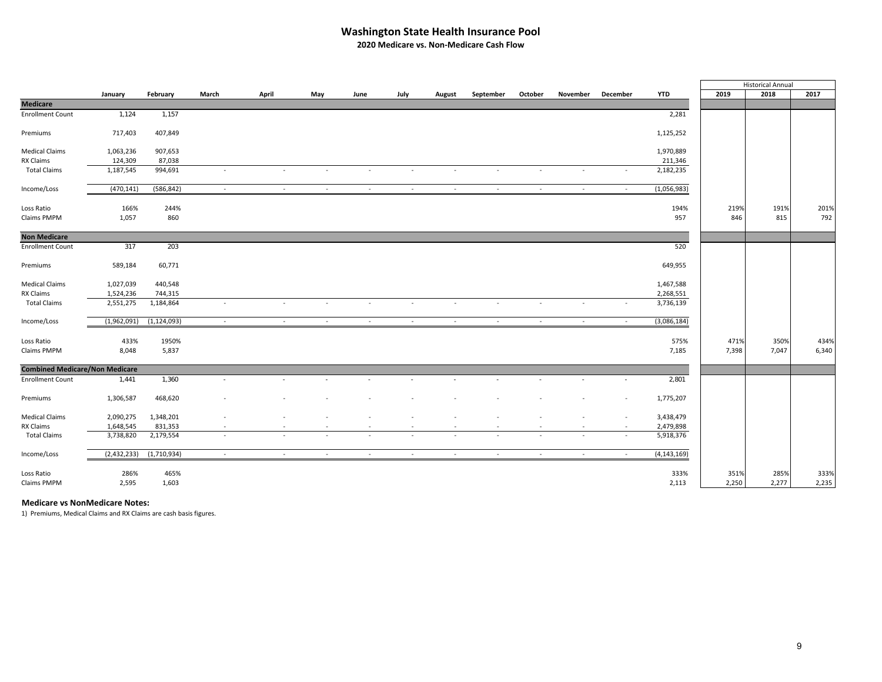### **Washington State Health Insurance Pool**

**2020 Medicare vs. Non‐Medicare Cash Flow**

|                                       |             |               |                          |        |        |                          |                          |                          |                          |                          |                          |          |               |       | <b>Historical Annual</b> |       |
|---------------------------------------|-------------|---------------|--------------------------|--------|--------|--------------------------|--------------------------|--------------------------|--------------------------|--------------------------|--------------------------|----------|---------------|-------|--------------------------|-------|
|                                       | January     | February      | March                    | April  | May    | June                     | July                     | August                   | September                | October                  | November                 | December | <b>YTD</b>    | 2019  | 2018                     | 2017  |
| <b>Medicare</b>                       |             |               |                          |        |        |                          |                          |                          |                          |                          |                          |          |               |       |                          |       |
| <b>Enrollment Count</b>               | 1,124       | 1,157         |                          |        |        |                          |                          |                          |                          |                          |                          |          | 2,281         |       |                          |       |
| Premiums                              | 717,403     | 407,849       |                          |        |        |                          |                          |                          |                          |                          |                          |          | 1,125,252     |       |                          |       |
| <b>Medical Claims</b>                 | 1,063,236   | 907,653       |                          |        |        |                          |                          |                          |                          |                          |                          |          | 1,970,889     |       |                          |       |
| RX Claims                             | 124,309     | 87,038        |                          |        |        |                          |                          |                          |                          |                          |                          |          | 211,346       |       |                          |       |
| <b>Total Claims</b>                   | 1,187,545   | 994,691       | $\overline{\phantom{a}}$ | $\sim$ | $\sim$ | $\sim$                   | $\sim$                   | $\sim$                   | $\sim$                   | $\sim$                   | $\overline{\phantom{a}}$ |          | 2,182,235     |       |                          |       |
| Income/Loss                           | (470, 141)  | (586, 842)    | $\sim$                   | $\sim$ | $\sim$ | $\sim$                   | $\sim$                   | $\sim$                   | $\sim$                   | $\sim$                   | $\sim$                   | $\sim$   | (1,056,983)   |       |                          |       |
| Loss Ratio                            | 166%        | 244%          |                          |        |        |                          |                          |                          |                          |                          |                          |          | 194%          | 219%  | 191%                     | 201%  |
| Claims PMPM                           | 1,057       | 860           |                          |        |        |                          |                          |                          |                          |                          |                          |          | 957           | 846   | 815                      | 792   |
| <b>Non Medicare</b>                   |             |               |                          |        |        |                          |                          |                          |                          |                          |                          |          |               |       |                          |       |
| <b>Enrollment Count</b>               | 317         | 203           |                          |        |        |                          |                          |                          |                          |                          |                          |          | 520           |       |                          |       |
| Premiums                              | 589,184     | 60,771        |                          |        |        |                          |                          |                          |                          |                          |                          |          | 649,955       |       |                          |       |
| <b>Medical Claims</b>                 | 1,027,039   | 440,548       |                          |        |        |                          |                          |                          |                          |                          |                          |          | 1,467,588     |       |                          |       |
| RX Claims                             | 1,524,236   | 744,315       |                          |        |        |                          |                          |                          |                          |                          |                          |          | 2,268,551     |       |                          |       |
| <b>Total Claims</b>                   | 2,551,275   | 1,184,864     | $\overline{\phantom{a}}$ | $\sim$ |        |                          | $\overline{\phantom{a}}$ |                          |                          |                          |                          |          | 3,736,139     |       |                          |       |
| Income/Loss                           | (1,962,091) | (1, 124, 093) | $\sim$                   | $\sim$ | $\sim$ | $\sim$                   | $\sim$                   | $\sim$                   | $\sim$                   | $\sim$                   | $\sim$                   | $\sim$   | (3,086,184)   |       |                          |       |
| Loss Ratio                            | 433%        | 1950%         |                          |        |        |                          |                          |                          |                          |                          |                          |          | 575%          | 471%  | 350%                     | 434%  |
| Claims PMPM                           | 8,048       | 5,837         |                          |        |        |                          |                          |                          |                          |                          |                          |          | 7,185         | 7,398 | 7,047                    | 6,340 |
| <b>Combined Medicare/Non Medicare</b> |             |               |                          |        |        |                          |                          |                          |                          |                          |                          |          |               |       |                          |       |
| <b>Enrollment Count</b>               | 1,441       | 1,360         |                          |        |        |                          |                          |                          |                          |                          |                          |          | 2,801         |       |                          |       |
| Premiums                              | 1,306,587   | 468,620       |                          |        |        |                          |                          |                          |                          |                          |                          |          | 1,775,207     |       |                          |       |
| <b>Medical Claims</b>                 | 2,090,275   | 1,348,201     |                          |        |        |                          | ٠                        |                          |                          |                          |                          | $\sim$   | 3,438,479     |       |                          |       |
| RX Claims                             | 1,648,545   | 831,353       | $\overline{\phantom{a}}$ | $\sim$ | $\sim$ | $\sim$                   | $\overline{\phantom{a}}$ | $\overline{\phantom{a}}$ | $\overline{\phantom{a}}$ | $\overline{\phantom{a}}$ | $\overline{\phantom{a}}$ | $\sim$   | 2,479,898     |       |                          |       |
| <b>Total Claims</b>                   | 3,738,820   | 2,179,554     | $\sim$                   | $\sim$ |        | $\overline{\phantom{a}}$ | $\overline{\phantom{a}}$ | $\sim$                   | $\overline{\phantom{a}}$ | $\sim$                   |                          |          | 5,918,376     |       |                          |       |
| Income/Loss                           | (2,432,233) | (1,710,934)   | $\sim$                   | $\sim$ | $\sim$ | $\sim$                   | - 20                     | $\sim$                   | $\sim$                   | $\sim$                   | $\sim$                   | $\sim$   | (4, 143, 169) |       |                          |       |
| Loss Ratio                            | 286%        | 465%          |                          |        |        |                          |                          |                          |                          |                          |                          |          | 333%          | 351%  | 285%                     | 333%  |
| Claims PMPM                           | 2,595       | 1,603         |                          |        |        |                          |                          |                          |                          |                          |                          |          | 2,113         | 2,250 | 2,277                    | 2,235 |

**Medicare vs NonMedicare Notes:**

1) Premiums, Medical Claims and RX Claims are cash basis figures.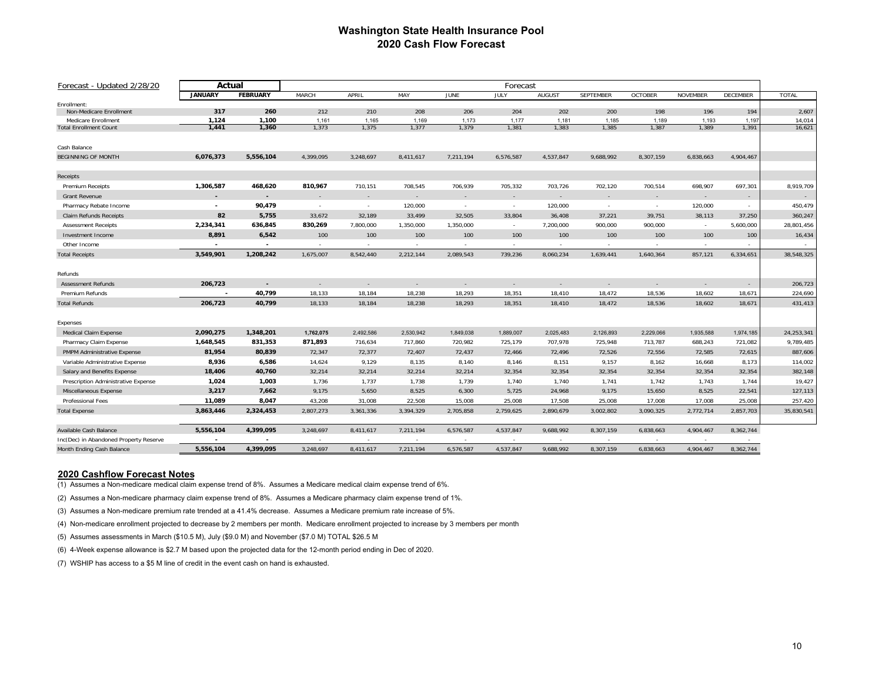#### **Washington State Health Insurance Pool 2020 Cash Flow Forecast**

| Forecast - Updated 2/28/20             | Actual<br>Forecast |                          |              |           |           |             |           |           |                  |                |                 |           |              |
|----------------------------------------|--------------------|--------------------------|--------------|-----------|-----------|-------------|-----------|-----------|------------------|----------------|-----------------|-----------|--------------|
|                                        | <b>JANUARY</b>     | <b>FEBRUARY</b>          | <b>MARCH</b> | APRIL     | MAY       | <b>JUNE</b> | JULY      | AUGUST    | <b>SEPTEMBER</b> | <b>OCTOBER</b> | <b>NOVEMBER</b> | DECEMBER  | <b>TOTAL</b> |
| Enrollment:                            |                    |                          |              |           |           |             |           |           |                  |                |                 |           |              |
| Non-Medicare Enrollment                | 317                | 260                      | 212          | 210       | 208       | 206         | 204       | 202       | 200              | 198            | 196             | 194       | 2,607        |
| Medicare Enrollment                    | 1,124              | 1,100                    | 1,161        | 1,165     | 1,169     | 1,173       | 1,177     | 1,181     | 1,185            | 1,189          | 1,193           | 1,197     | 14,014       |
| <b>Total Enrollment Count</b>          | 1,441              | 1,360                    | 1,373        | 1,375     | 1,377     | 1,379       | 1,381     | 1,383     | 1,385            | 1,387          | 1,389           | 1,391     | 16,621       |
| Cash Balance                           |                    |                          |              |           |           |             |           |           |                  |                |                 |           |              |
| <b>BEGINNING OF MONTH</b>              | 6,076,373          | 5,556,104                | 4,399,095    | 3,248,697 | 8,411,617 | 7,211,194   | 6,576,587 | 4,537,847 | 9,688,992        | 8,307,159      | 6,838,663       | 4,904,467 |              |
| Receipts                               |                    |                          |              |           |           |             |           |           |                  |                |                 |           |              |
| Premium Receipts                       | 1,306,587          | 468,620                  | 810,967      | 710,151   | 708,545   | 706,939     | 705,332   | 703,726   | 702,120          | 700,514        | 698,907         | 697,301   | 8,919,709    |
| <b>Grant Revenue</b>                   |                    |                          | $\sim$       | $\sim$    | $\sim$    |             | $\sim$    | $\sim$    | ÷                | $\sim$         |                 | $\sim$    | $\sim$       |
| Pharmacy Rebate Income                 | $\overline{a}$     | 90,479                   | $\sim$       | $\sim$    | 120,000   | $\sim$      | $\sim$    | 120,000   | $\sim$           | $\sim$         | 120,000         | $\sim$    | 450,479      |
| <b>Claim Refunds Receipts</b>          | 82                 | 5,755                    | 33,672       | 32,189    | 33,499    | 32,505      | 33,804    | 36,408    | 37,221           | 39,751         | 38,113          | 37,250    | 360,247      |
| <b>Assessment Receipts</b>             | 2,234,341          | 636,845                  | 830,269      | 7,800,000 | 1,350,000 | 1,350,000   | $\sim$    | 7,200,000 | 900,000          | 900,000        | $\sim$          | 5,600,000 | 28,801,456   |
| Investment Income                      | 8,891              | 6,542                    | 100          | 100       | 100       | 100         | 100       | 100       | 100              | 100            | 100             | 100       | 16,434       |
| Other Income                           |                    |                          | $\sim$       | $\sim$    | $\sim$    | $\sim$      | $\sim$    | $\sim$    | $\sim$           | $\sim$         | $\sim$          |           |              |
| <b>Total Receipts</b>                  | 3,549,901          | 1,208,242                | 1,675,007    | 8,542,440 | 2,212,144 | 2,089,543   | 739,236   | 8,060,234 | 1,639,441        | 1,640,364      | 857,121         | 6,334,651 | 38,548,325   |
| Refunds                                |                    |                          |              |           |           |             |           |           |                  |                |                 |           |              |
| <b>Assessment Refunds</b>              | 206,723            | $\overline{\phantom{a}}$ | ÷.           | $\sim$    | $\sim$    | $\sim$      | $\sim$    | $\sim$    | ٠.               | $\sim$         | $\sim$          | $\sim$    | 206,723      |
| Premium Refunds                        |                    | 40,799                   | 18,133       | 18,184    | 18,238    | 18,293      | 18,351    | 18,410    | 18,472           | 18,536         | 18,602          | 18,671    | 224,690      |
| <b>Total Refunds</b>                   | 206,723            | 40,799                   | 18,133       | 18,184    | 18,238    | 18,293      | 18,351    | 18,410    | 18,472           | 18,536         | 18,602          | 18,671    | 431,413      |
| Expenses                               |                    |                          |              |           |           |             |           |           |                  |                |                 |           |              |
| Medical Claim Expense                  | 2,090,275          | 1,348,201                | 1,762,075    | 2,492,586 | 2.530.942 | 1,849,038   | 1,889,007 | 2,025,483 | 2,126,893        | 2,229,066      | 1,935,588       | 1,974,185 | 24,253,341   |
| Pharmacy Claim Expense                 | 1,648,545          | 831,353                  | 871,893      | 716,634   | 717,860   | 720,982     | 725,179   | 707,978   | 725,948          | 713,787        | 688,243         | 721,082   | 9,789,485    |
| PMPM Administrative Expense            | 81,954             | 80,839                   | 72,347       | 72,377    | 72,407    | 72,437      | 72,466    | 72,496    | 72,526           | 72,556         | 72,585          | 72,615    | 887,606      |
| Variable Administrative Expense        | 8,936              | 6,586                    | 14,624       | 9,129     | 8,135     | 8,140       | 8,146     | 8,151     | 9,157            | 8,162          | 16,668          | 8,173     | 114,002      |
| Salary and Benefits Expense            | 18,406             | 40,760                   | 32,214       | 32,214    | 32,214    | 32,214      | 32,354    | 32,354    | 32,354           | 32,354         | 32,354          | 32,354    | 382,148      |
| Prescription Administrative Expense    | 1,024              | 1,003                    | 1,736        | 1,737     | 1,738     | 1,739       | 1,740     | 1,740     | 1,741            | 1,742          | 1,743           | 1,744     | 19,427       |
| Miscellaneous Expense                  | 3,217              | 7,662                    | 9,175        | 5,650     | 8,525     | 6,300       | 5,725     | 24,968    | 9,175            | 15,650         | 8,525           | 22,541    | 127,113      |
| Professional Fees                      | 11,089             | 8,047                    | 43,208       | 31,008    | 22,508    | 15,008      | 25,008    | 17,508    | 25,008           | 17,008         | 17,008          | 25,008    | 257,420      |
| <b>Total Expense</b>                   | 3,863,446          | 2,324,453                | 2,807,273    | 3,361,336 | 3,394,329 | 2,705,858   | 2,759,625 | 2,890,679 | 3,002,802        | 3,090,325      | 2,772,714       | 2,857,703 | 35,830,541   |
|                                        |                    |                          |              |           |           |             |           |           |                  |                |                 |           |              |
| Available Cash Balance                 | 5,556,104          | 4,399,095                | 3,248,697    | 8,411,617 | 7,211,194 | 6,576,587   | 4,537,847 | 9,688,992 | 8,307,159        | 6,838,663      | 4,904,467       | 8,362,744 |              |
| Inc(Dec) in Abandoned Property Reserve | 5,556,104          | 4,399,095                | 3,248,697    |           | 7,211,194 | 6,576,587   | 4,537,847 | 9,688,992 |                  | 6,838,663      | 4,904,467       | 8,362,744 |              |
| Month Ending Cash Balance              |                    |                          |              | 8,411,617 |           |             |           |           | 8,307,159        |                |                 |           |              |

#### **2020 Cashflow Forecast Notes**

(1) Assumes a Non-medicare medical claim expense trend of 8%. Assumes a Medicare medical claim expense trend of 6%.

(2) Assumes a Non-medicare pharmacy claim expense trend of 8%. Assumes a Medicare pharmacy claim expense trend of 1%.

(3) Assumes a Non-medicare premium rate trended at a 41.4% decrease. Assumes a Medicare premium rate increase of 5%.

(4) Non-medicare enrollment projected to decrease by 2 members per month. Medicare enrollment projected to increase by 3 members per month

(5) Assumes assessments in March (\$10.5 M), July (\$9.0 M) and November (\$7.0 M) TOTAL \$26.5 M

(6) 4-Week expense allowance is \$2.7 M based upon the projected data for the 12-month period ending in Dec of 2020.

(7) WSHIP has access to a \$5 M line of credit in the event cash on hand is exhausted.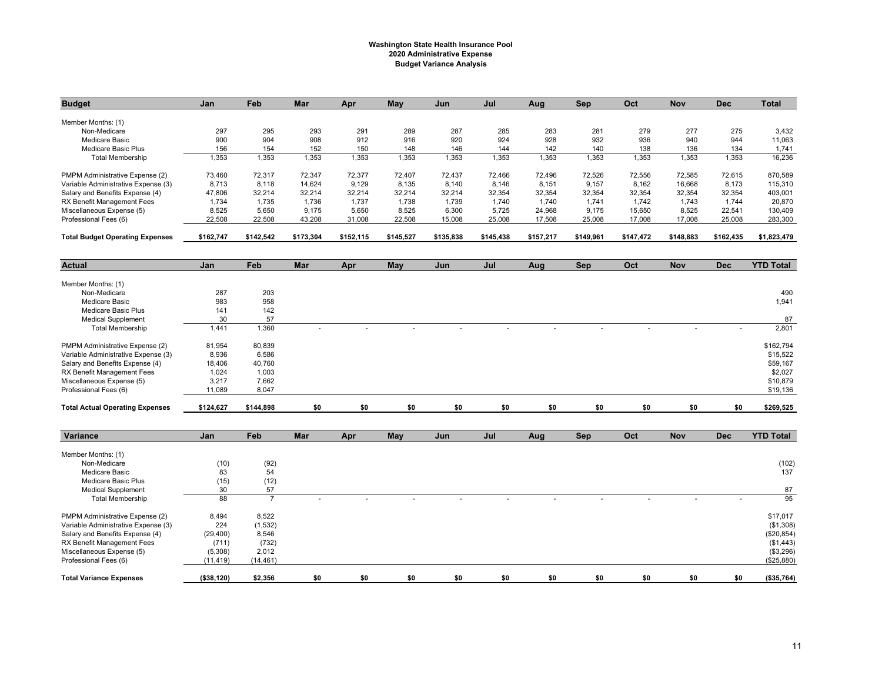#### **Washington State Health Insurance Pool 2020 Administrative Expense Budget Variance Analysis**

| <b>Budget</b>                          | Jan        | Feb        | Mar       | Apr       | May       | Jun       | Jul       | Aug       | Sep        | Oct       | <b>Nov</b> | <b>Dec</b> | <b>Total</b>     |
|----------------------------------------|------------|------------|-----------|-----------|-----------|-----------|-----------|-----------|------------|-----------|------------|------------|------------------|
| Member Months: (1)                     |            |            |           |           |           |           |           |           |            |           |            |            |                  |
| Non-Medicare                           | 297        | 295        | 293       | 291       | 289       | 287       | 285       | 283       | 281        | 279       | 277        | 275        | 3,432            |
| <b>Medicare Basic</b>                  | 900        | 904        | 908       | 912       | 916       | 920       | 924       | 928       | 932        | 936       | 940        | 944        | 11,063           |
| Medicare Basic Plus                    | 156        | 154        | 152       | 150       | 148       | 146       | 144       | 142       | 140        | 138       | 136        | 134        | 1,741            |
| <b>Total Membership</b>                | 1,353      | 1,353      | 1,353     | 1,353     | 1,353     | 1,353     | 1,353     | 1,353     | 1,353      | 1,353     | 1,353      | 1,353      | 16,236           |
| PMPM Administrative Expense (2)        | 73.460     | 72,317     | 72.347    | 72,377    | 72.407    | 72.437    | 72,466    | 72,496    | 72.526     | 72,556    | 72.585     | 72,615     | 870.589          |
| Variable Administrative Expense (3)    | 8,713      | 8,118      | 14,624    | 9,129     | 8,135     | 8,140     | 8,146     | 8,151     | 9,157      | 8,162     | 16,668     | 8,173      | 115,310          |
| Salary and Benefits Expense (4)        | 47,806     | 32,214     | 32,214    | 32,214    | 32,214    | 32,214    | 32,354    | 32,354    | 32,354     | 32,354    | 32,354     | 32,354     | 403,001          |
| RX Benefit Management Fees             | 1,734      | 1,735      | 1.736     | 1,737     | 1,738     | 1,739     | 1.740     | 1.740     | 1,741      | 1.742     | 1.743      | 1,744      | 20,870           |
| Miscellaneous Expense (5)              | 8,525      | 5,650      | 9,175     | 5,650     | 8,525     | 6,300     | 5,725     | 24,968    | 9,175      | 15,650    | 8,525      | 22,541     | 130,409          |
| Professional Fees (6)                  | 22,508     | 22,508     | 43,208    | 31,008    | 22,508    | 15,008    | 25,008    | 17,508    | 25,008     | 17,008    | 17,008     | 25,008     | 283,300          |
| <b>Total Budget Operating Expenses</b> | \$162,747  | \$142,542  | \$173,304 | \$152,115 | \$145,527 | \$135,838 | \$145,438 | \$157,217 | \$149,961  | \$147,472 | \$148,883  | \$162,435  | \$1,823,479      |
|                                        |            |            |           |           |           |           |           |           |            |           |            |            |                  |
| <b>Actual</b>                          | Jan        | Feb        | Mar       | Apr       | May       | Jun       | Jul       | Aug       | Sep        | Oct       | <b>Nov</b> | <b>Dec</b> | <b>YTD Total</b> |
| Member Months: (1)                     |            |            |           |           |           |           |           |           |            |           |            |            |                  |
| Non-Medicare                           | 287        | 203        |           |           |           |           |           |           |            |           |            |            | 490              |
| <b>Medicare Basic</b>                  | 983        | 958        |           |           |           |           |           |           |            |           |            |            | 1,941            |
| Medicare Basic Plus                    | 141        | 142        |           |           |           |           |           |           |            |           |            |            |                  |
| <b>Medical Supplement</b>              | 30         | 57         |           |           |           |           |           |           |            |           |            |            | 87               |
| <b>Total Membership</b>                | 1,441      | 1,360      | $\sim$    | $\sim$    |           |           |           |           |            |           |            | $\sim$     | 2,801            |
| PMPM Administrative Expense (2)        | 81,954     | 80,839     |           |           |           |           |           |           |            |           |            |            | \$162,794        |
| Variable Administrative Expense (3)    | 8,936      | 6.586      |           |           |           |           |           |           |            |           |            |            | \$15,522         |
| Salary and Benefits Expense (4)        | 18,406     | 40,760     |           |           |           |           |           |           |            |           |            |            | \$59,167         |
| RX Benefit Management Fees             | 1,024      | 1,003      |           |           |           |           |           |           |            |           |            |            | \$2,027          |
| Miscellaneous Expense (5)              | 3,217      | 7,662      |           |           |           |           |           |           |            |           |            |            | \$10,879         |
| Professional Fees (6)                  | 11,089     | 8,047      |           |           |           |           |           |           |            |           |            |            | \$19,136         |
| <b>Total Actual Operating Expenses</b> | \$124,627  | \$144,898  | \$0       | \$0       | \$0       | \$0       | \$0       | \$0       | \$0        | \$0       | \$0        | \$0        | \$269,525        |
|                                        |            |            |           |           |           |           |           |           |            |           |            |            |                  |
| Variance                               | Jan        | Feb        | Mar       | Apr       | May       | Jun       | Jul       | Aug       | <b>Sep</b> | Oct       | <b>Nov</b> | <b>Dec</b> | <b>YTD Total</b> |
| Member Months: (1)                     |            |            |           |           |           |           |           |           |            |           |            |            |                  |
|                                        |            |            |           |           |           |           |           |           |            |           |            |            |                  |
| Non-Medicare<br><b>Medicare Basic</b>  | (10)<br>83 | (92)<br>54 |           |           |           |           |           |           |            |           |            |            | (102)<br>137     |
| Medicare Basic Plus                    | (15)       | (12)       |           |           |           |           |           |           |            |           |            |            |                  |
|                                        |            |            |           |           |           |           |           |           |            |           |            |            |                  |

| <b>Total Variance Expenses</b>      | ( \$38, 120) | \$2,356   | \$0 | \$0 | \$0 | \$O      | \$0 | \$0 | \$O | \$0 | \$0    | \$n | (\$35,764) |
|-------------------------------------|--------------|-----------|-----|-----|-----|----------|-----|-----|-----|-----|--------|-----|------------|
| Professional Fees (6)               | (11, 419)    | (14, 461) |     |     |     |          |     |     |     |     |        |     | (\$25,880) |
| Miscellaneous Expense (5)           | (5,308)      | 2,012     |     |     |     |          |     |     |     |     |        |     | (\$3,296)  |
| RX Benefit Management Fees          | (711)        | (732)     |     |     |     |          |     |     |     |     |        |     | (\$1,443)  |
| Salary and Benefits Expense (4)     | (29, 400)    | 8,546     |     |     |     |          |     |     |     |     |        |     | (\$20,854) |
| Variable Administrative Expense (3) | 224          | (1,532)   |     |     |     |          |     |     |     |     |        |     | (\$1,308)  |
| PMPM Administrative Expense (2)     | 8,494        | 8.522     |     |     |     |          |     |     |     |     |        |     | \$17,017   |
| <b>Total Membership</b>             | 88           |           |     |     |     | <b>.</b> | -   | -   |     |     | $\sim$ |     | 95         |
| Medical Supplement                  | 30           | 57        |     |     |     |          |     |     |     |     |        |     | 87         |